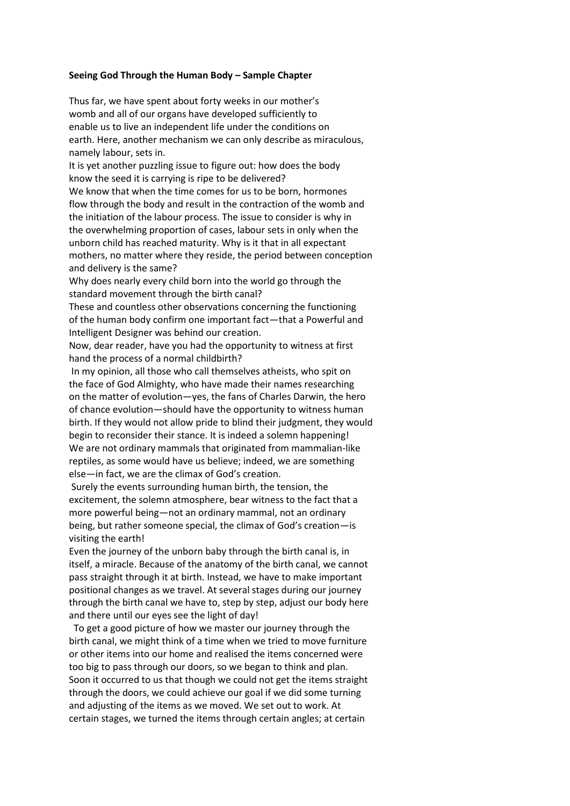## **Seeing God Through the Human Body – Sample Chapter**

Thus far, we have spent about forty weeks in our mother's womb and all of our organs have developed sufficiently to enable us to live an independent life under the conditions on earth. Here, another mechanism we can only describe as miraculous, namely labour, sets in.

It is yet another puzzling issue to figure out: how does the body know the seed it is carrying is ripe to be delivered?

We know that when the time comes for us to be born, hormones flow through the body and result in the contraction of the womb and the initiation of the labour process. The issue to consider is why in the overwhelming proportion of cases, labour sets in only when the unborn child has reached maturity. Why is it that in all expectant mothers, no matter where they reside, the period between conception and delivery is the same?

Why does nearly every child born into the world go through the standard movement through the birth canal?

These and countless other observations concerning the functioning of the human body confirm one important fact—that a Powerful and Intelligent Designer was behind our creation.

Now, dear reader, have you had the opportunity to witness at first hand the process of a normal childbirth?

In my opinion, all those who call themselves atheists, who spit on the face of God Almighty, who have made their names researching on the matter of evolution—yes, the fans of Charles Darwin, the hero of chance evolution—should have the opportunity to witness human birth. If they would not allow pride to blind their judgment, they would begin to reconsider their stance. It is indeed a solemn happening! We are not ordinary mammals that originated from mammalian-like reptiles, as some would have us believe; indeed, we are something else—in fact, we are the climax of God's creation.

Surely the events surrounding human birth, the tension, the excitement, the solemn atmosphere, bear witness to the fact that a more powerful being—not an ordinary mammal, not an ordinary being, but rather someone special, the climax of God's creation—is visiting the earth!

Even the journey of the unborn baby through the birth canal is, in itself, a miracle. Because of the anatomy of the birth canal, we cannot pass straight through it at birth. Instead, we have to make important positional changes as we travel. At several stages during our journey through the birth canal we have to, step by step, adjust our body here and there until our eyes see the light of day!

 To get a good picture of how we master our journey through the birth canal, we might think of a time when we tried to move furniture or other items into our home and realised the items concerned were too big to pass through our doors, so we began to think and plan. Soon it occurred to us that though we could not get the items straight through the doors, we could achieve our goal if we did some turning and adjusting of the items as we moved. We set out to work. At certain stages, we turned the items through certain angles; at certain